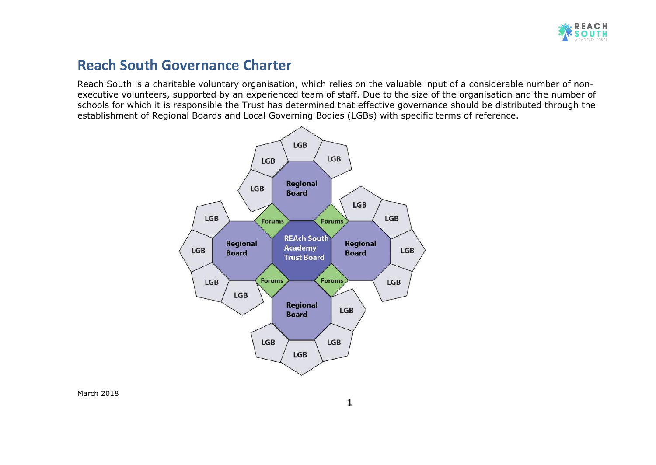

# **Reach South Governance Charter**

Reach South is a charitable voluntary organisation, which relies on the valuable input of a considerable number of nonexecutive volunteers, supported by an experienced team of staff. Due to the size of the organisation and the number of schools for which it is responsible the Trust has determined that effective governance should be distributed through the establishment of Regional Boards and Local Governing Bodies (LGBs) with specific terms of reference.

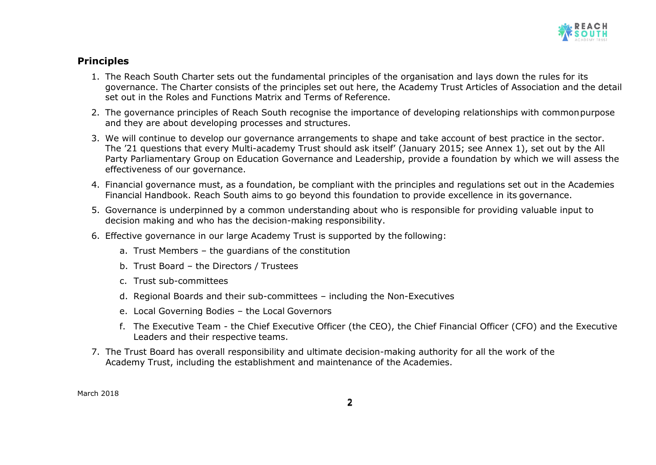

## **Principles**

- 1. The Reach South Charter sets out the fundamental principles of the organisation and lays down the rules for its governance. The Charter consists of the principles set out here, the Academy Trust Articles of Association and the detail set out in the Roles and Functions Matrix and Terms of Reference.
- 2. The governance principles of Reach South recognise the importance of developing relationships with commonpurpose and they are about developing processes and structures.
- 3. We will continue to develop our governance arrangements to shape and take account of best practice in the sector. The '21 questions that every Multi-academy Trust should ask itself' (January 2015; see Annex 1), set out by the All Party Parliamentary Group on Education Governance and Leadership, provide a foundation by which we will assess the effectiveness of our governance.
- 4. Financial governance must, as a foundation, be compliant with the principles and regulations set out in the Academies Financial Handbook. Reach South aims to go beyond this foundation to provide excellence in its governance.
- 5. Governance is underpinned by a common understanding about who is responsible for providing valuable input to decision making and who has the decision-making responsibility.
- 6. Effective governance in our large Academy Trust is supported by the following:
	- a. Trust Members the guardians of the constitution
	- b. Trust Board the Directors / Trustees
	- c. Trust sub-committees
	- d. Regional Boards and their sub-committees including the Non-Executives
	- e. Local Governing Bodies the Local Governors
	- f. The Executive Team the Chief Executive Officer (the CEO), the Chief Financial Officer (CFO) and the Executive Leaders and their respective teams.
- 7. The Trust Board has overall responsibility and ultimate decision-making authority for all the work of the Academy Trust, including the establishment and maintenance of the Academies.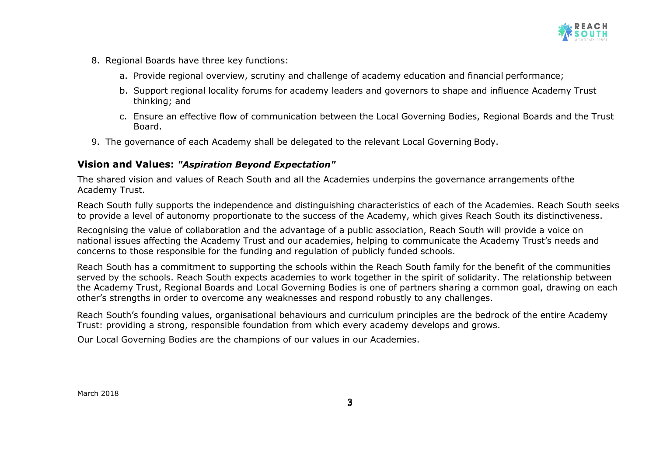

- 8. Regional Boards have three key functions:
	- a. Provide regional overview, scrutiny and challenge of academy education and financial performance;
	- b. Support regional locality forums for academy leaders and governors to shape and influence Academy Trust thinking; and
	- c. Ensure an effective flow of communication between the Local Governing Bodies, Regional Boards and the Trust Board.
- 9. The governance of each Academy shall be delegated to the relevant Local Governing Body.

### **Vision and Values:** *"Aspiration Beyond Expectation"*

The shared vision and values of Reach South and all the Academies underpins the governance arrangements ofthe Academy Trust.

Reach South fully supports the independence and distinguishing characteristics of each of the Academies. Reach South seeks to provide a level of autonomy proportionate to the success of the Academy, which gives Reach South its distinctiveness.

Recognising the value of collaboration and the advantage of a public association, Reach South will provide a voice on national issues affecting the Academy Trust and our academies, helping to communicate the Academy Trust's needs and concerns to those responsible for the funding and regulation of publicly funded schools.

Reach South has a commitment to supporting the schools within the Reach South family for the benefit of the communities served by the schools. Reach South expects academies to work together in the spirit of solidarity. The relationship between the Academy Trust, Regional Boards and Local Governing Bodies is one of partners sharing a common goal, drawing on each other's strengths in order to overcome any weaknesses and respond robustly to any challenges.

Reach South's founding values, organisational behaviours and curriculum principles are the bedrock of the entire Academy Trust: providing a strong, responsible foundation from which every academy develops and grows.

Our Local Governing Bodies are the champions of our values in our Academies.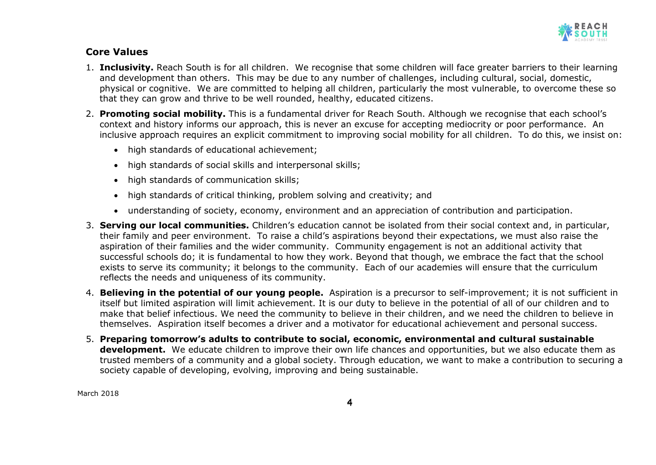

## **Core Values**

- 1. **Inclusivity.** Reach South is for all children. We recognise that some children will face greater barriers to their learning and development than others. This may be due to any number of challenges, including cultural, social, domestic, physical or cognitive. We are committed to helping all children, particularly the most vulnerable, to overcome these so that they can grow and thrive to be well rounded, healthy, educated citizens.
- 2. **Promoting social mobility.** This is a fundamental driver for Reach South. Although we recognise that each school's context and history informs our approach, this is never an excuse for accepting mediocrity or poor performance. An inclusive approach requires an explicit commitment to improving social mobility for all children. To do this, we insist on:
	- high standards of educational achievement;
	- high standards of social skills and interpersonal skills;
	- high standards of communication skills;
	- high standards of critical thinking, problem solving and creativity; and
	- understanding of society, economy, environment and an appreciation of contribution and participation.
- 3. **Serving our local communities.** Children's education cannot be isolated from their social context and, in particular, their family and peer environment. To raise a child's aspirations beyond their expectations, we must also raise the aspiration of their families and the wider community. Community engagement is not an additional activity that successful schools do; it is fundamental to how they work. Beyond that though, we embrace the fact that the school exists to serve its community; it belongs to the community. Each of our academies will ensure that the curriculum reflects the needs and uniqueness of its community.
- 4. **Believing in the potential of our young people.** Aspiration is a precursor to self-improvement; it is not sufficient in itself but limited aspiration will limit achievement. It is our duty to believe in the potential of all of our children and to make that belief infectious. We need the community to believe in their children, and we need the children to believe in themselves. Aspiration itself becomes a driver and a motivator for educational achievement and personal success.
- 5. **Preparing tomorrow's adults to contribute to social, economic, environmental and cultural sustainable development.** We educate children to improve their own life chances and opportunities, but we also educate them as trusted members of a community and a global society. Through education, we want to make a contribution to securing a society capable of developing, evolving, improving and being sustainable.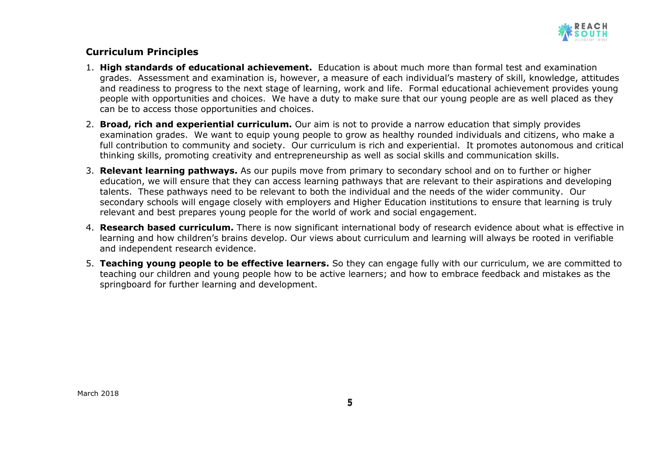

## **Curriculum Principles**

- 1. **High standards of educational achievement.** Education is about much more than formal test and examination grades. Assessment and examination is, however, a measure of each individual's mastery of skill, knowledge, attitudes and readiness to progress to the next stage of learning, work and life. Formal educational achievement provides young people with opportunities and choices. We have a duty to make sure that our young people are as well placed as they can be to access those opportunities and choices.
- 2. **Broad, rich and experiential curriculum.** Our aim is not to provide a narrow education that simply provides examination grades. We want to equip young people to grow as healthy rounded individuals and citizens, who make a full contribution to community and society. Our curriculum is rich and experiential. It promotes autonomous and critical thinking skills, promoting creativity and entrepreneurship as well as social skills and communication skills.
- 3. **Relevant learning pathways.** As our pupils move from primary to secondary school and on to further or higher education, we will ensure that they can access learning pathways that are relevant to their aspirations and developing talents. These pathways need to be relevant to both the individual and the needs of the wider community. Our secondary schools will engage closely with employers and Higher Education institutions to ensure that learning is truly relevant and best prepares young people for the world of work and social engagement.
- 4. **Research based curriculum.** There is now significant international body of research evidence about what is effective in learning and how children's brains develop. Our views about curriculum and learning will always be rooted in verifiable and independent research evidence.
- 5. **Teaching young people to be effective learners.** So they can engage fully with our curriculum, we are committed to teaching our children and young people how to be active learners; and how to embrace feedback and mistakes as the springboard for further learning and development.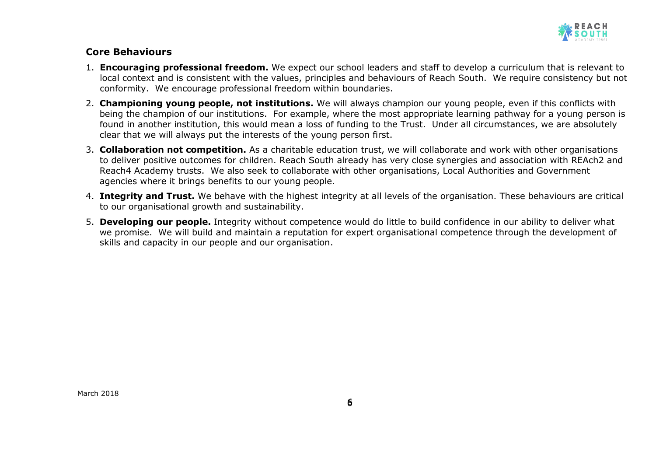

#### **Core Behaviours**

- 1. **Encouraging professional freedom.** We expect our school leaders and staff to develop a curriculum that is relevant to local context and is consistent with the values, principles and behaviours of Reach South. We require consistency but not conformity. We encourage professional freedom within boundaries.
- 2. **Championing young people, not institutions.** We will always champion our young people, even if this conflicts with being the champion of our institutions. For example, where the most appropriate learning pathway for a young person is found in another institution, this would mean a loss of funding to the Trust. Under all circumstances, we are absolutely clear that we will always put the interests of the young person first.
- 3. **Collaboration not competition.** As a charitable education trust, we will collaborate and work with other organisations to deliver positive outcomes for children. Reach South already has very close synergies and association with REAch2 and Reach4 Academy trusts. We also seek to collaborate with other organisations, Local Authorities and Government agencies where it brings benefits to our young people.
- 4. **Integrity and Trust.** We behave with the highest integrity at all levels of the organisation. These behaviours are critical to our organisational growth and sustainability.
- 5. **Developing our people.** Integrity without competence would do little to build confidence in our ability to deliver what we promise. We will build and maintain a reputation for expert organisational competence through the development of skills and capacity in our people and our organisation.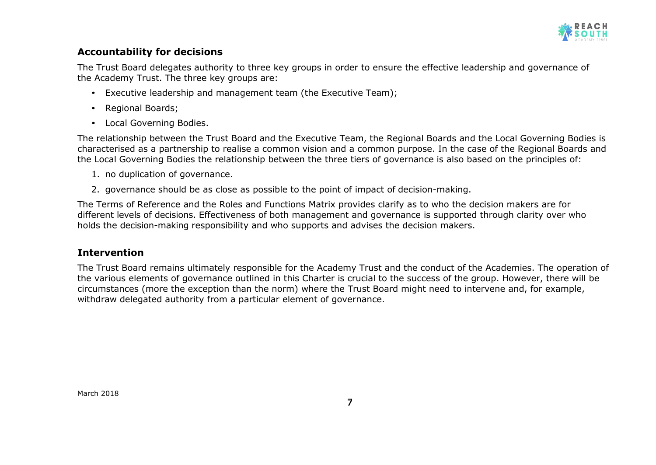

## **Accountability for decisions**

The Trust Board delegates authority to three key groups in order to ensure the effective leadership and governance of the Academy Trust. The three key groups are:

- Executive leadership and management team (the Executive Team);
- Regional Boards;
- Local Governing Bodies.

The relationship between the Trust Board and the Executive Team, the Regional Boards and the Local Governing Bodies is characterised as a partnership to realise a common vision and a common purpose. In the case of the Regional Boards and the Local Governing Bodies the relationship between the three tiers of governance is also based on the principles of:

- 1. no duplication of governance.
- 2. governance should be as close as possible to the point of impact of decision-making.

The Terms of Reference and the Roles and Functions Matrix provides clarify as to who the decision makers are for different levels of decisions. Effectiveness of both management and governance is supported through clarity over who holds the decision-making responsibility and who supports and advises the decision makers.

#### **Intervention**

The Trust Board remains ultimately responsible for the Academy Trust and the conduct of the Academies. The operation of the various elements of governance outlined in this Charter is crucial to the success of the group. However, there will be circumstances (more the exception than the norm) where the Trust Board might need to intervene and, for example, withdraw delegated authority from a particular element of governance.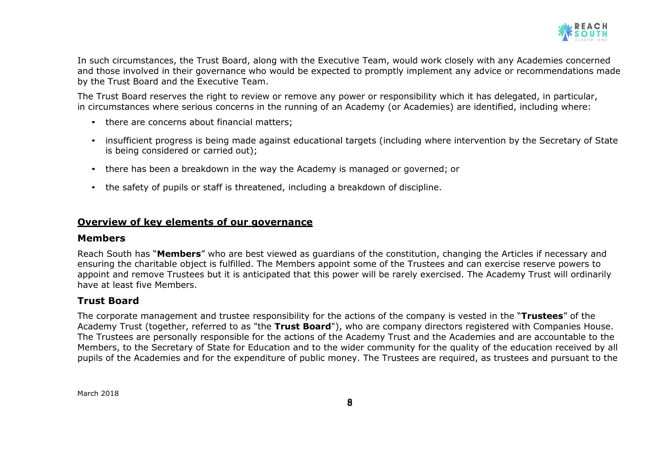

In such circumstances, the Trust Board, along with the Executive Team, would work closely with any Academies concerned and those involved in their governance who would be expected to promptly implement any advice or recommendations made by the Trust Board and the Executive Team.

The Trust Board reserves the right to review or remove any power or responsibility which it has delegated, in particular, in circumstances where serious concerns in the running of an Academy (or Academies) are identified, including where:

- there are concerns about financial matters;
- insufficient progress is being made against educational targets (including where intervention by the Secretary of State is being considered or carried out);
- there has been a breakdown in the way the Academy is managed or governed; or
- the safety of pupils or staff is threatened, including a breakdown of discipline.

#### **Overview of key elements of our governance**

#### **Members**

Reach South has "**Members**" who are best viewed as guardians of the constitution, changing the Articles if necessary and ensuring the charitable object is fulfilled. The Members appoint some of the Trustees and can exercise reserve powers to appoint and remove Trustees but it is anticipated that this power will be rarely exercised. The Academy Trust will ordinarily have at least five Members.

## **Trust Board**

The corporate management and trustee responsibility for the actions of the company is vested in the "**Trustees**" of the Academy Trust (together, referred to as "the **Trust Board**"), who are company directors registered with Companies House. The Trustees are personally responsible for the actions of the Academy Trust and the Academies and are accountable to the Members, to the Secretary of State for Education and to the wider community for the quality of the education received by all pupils of the Academies and for the expenditure of public money. The Trustees are required, as trustees and pursuant to the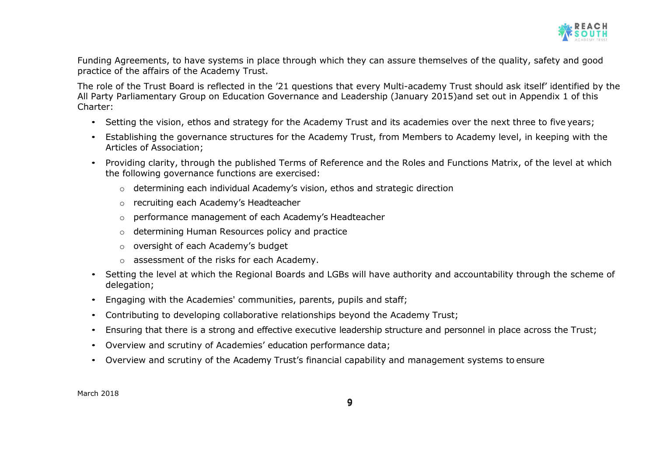

Funding Agreements, to have systems in place through which they can assure themselves of the quality, safety and good practice of the affairs of the Academy Trust.

The role of the Trust Board is reflected in the '21 questions that every Multi-academy Trust should ask itself' identified by the All Party Parliamentary Group on Education Governance and Leadership (January 2015)and set out in Appendix 1 of this Charter:

- Setting the vision, ethos and strategy for the Academy Trust and its academies over the next three to five years;
- Establishing the governance structures for the Academy Trust, from Members to Academy level, in keeping with the Articles of Association;
- Providing clarity, through the published Terms of Reference and the Roles and Functions Matrix, of the level at which the following governance functions are exercised:
	- $\circ$  determining each individual Academy's vision, ethos and strategic direction
	- o recruiting each Academy's Headteacher
	- o performance management of each Academy's Headteacher
	- o determining Human Resources policy and practice
	- o oversight of each Academy's budget
	- o assessment of the risks for each Academy.
- Setting the level at which the Regional Boards and LGBs will have authority and accountability through the scheme of delegation;
- Engaging with the Academies' communities, parents, pupils and staff;
- Contributing to developing collaborative relationships beyond the Academy Trust;
- Ensuring that there is a strong and effective executive leadership structure and personnel in place across the Trust;
- Overview and scrutiny of Academies' education performance data;
- Overview and scrutiny of the Academy Trust's financial capability and management systems to ensure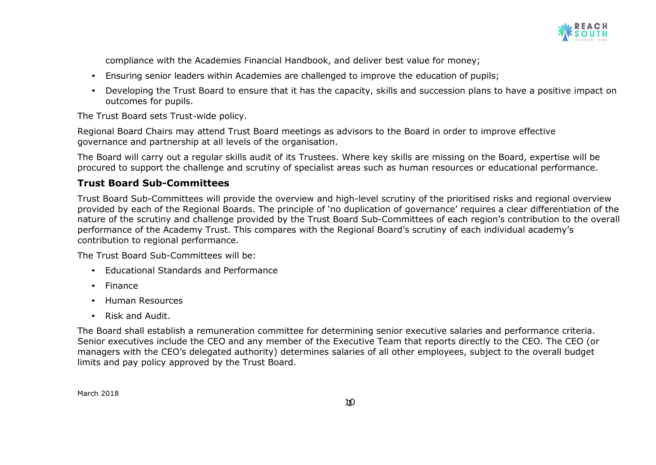

compliance with the Academies Financial Handbook, and deliver best value for money;

- Ensuring senior leaders within Academies are challenged to improve the education of pupils;
- Developing the Trust Board to ensure that it has the capacity, skills and succession plans to have a positive impact on outcomes for pupils.

The Trust Board sets Trust-wide policy.

Regional Board Chairs may attend Trust Board meetings as advisors to the Board in order to improve effective governance and partnership at all levels of the organisation.

The Board will carry out a regular skills audit of its Trustees. Where key skills are missing on the Board, expertise will be procured to support the challenge and scrutiny of specialist areas such as human resources or educational performance.

## **Trust Board Sub-Committees**

Trust Board Sub-Committees will provide the overview and high-level scrutiny of the prioritised risks and regional overview provided by each of the Regional Boards. The principle of 'no duplication of governance' requires a clear differentiation of the nature of the scrutiny and challenge provided by the Trust Board Sub-Committees of each region's contribution to the overall performance of the Academy Trust. This compares with the Regional Board's scrutiny of each individual academy's contribution to regional performance.

The Trust Board Sub-Committees will be:

- Educational Standards and Performance
- Finance
- Human Resources
- Risk and Audit.

The Board shall establish a remuneration committee for determining senior executive salaries and performance criteria. Senior executives include the CEO and any member of the Executive Team that reports directly to the CEO. The CEO (or managers with the CEO's delegated authority) determines salaries of all other employees, subject to the overall budget limits and pay policy approved by the Trust Board.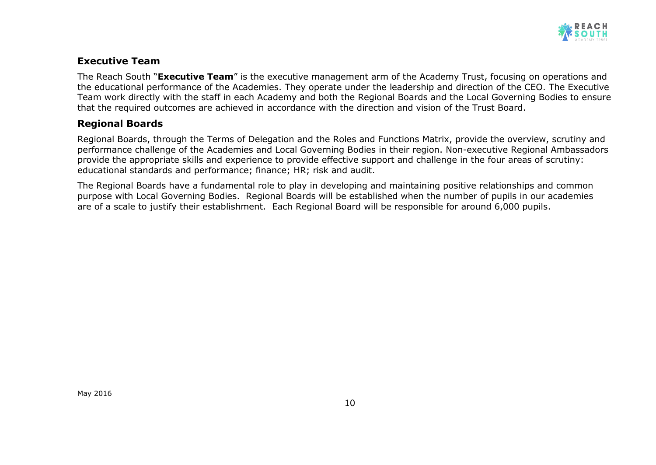

## **Executive Team**

The Reach South "**Executive Team**" is the executive management arm of the Academy Trust, focusing on operations and the educational performance of the Academies. They operate under the leadership and direction of the CEO. The Executive Team work directly with the staff in each Academy and both the Regional Boards and the Local Governing Bodies to ensure that the required outcomes are achieved in accordance with the direction and vision of the Trust Board.

## **Regional Boards**

Regional Boards, through the Terms of Delegation and the Roles and Functions Matrix, provide the overview, scrutiny and performance challenge of the Academies and Local Governing Bodies in their region. Non-executive Regional Ambassadors provide the appropriate skills and experience to provide effective support and challenge in the four areas of scrutiny: educational standards and performance; finance; HR; risk and audit.

The Regional Boards have a fundamental role to play in developing and maintaining positive relationships and common purpose with Local Governing Bodies. Regional Boards will be established when the number of pupils in our academies are of a scale to justify their establishment. Each Regional Board will be responsible for around 6,000 pupils.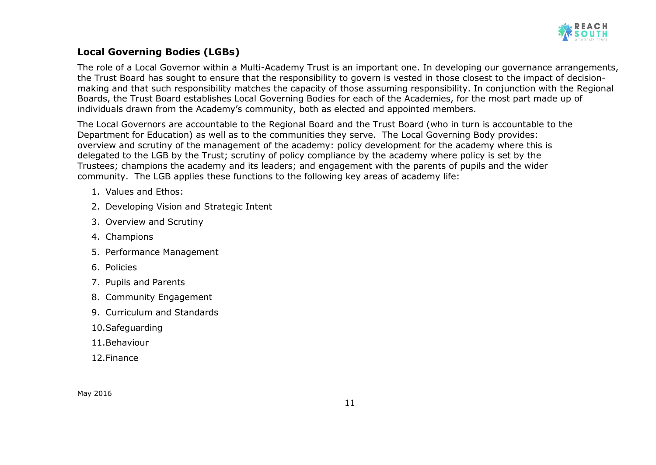

## **Local Governing Bodies (LGBs)**

The role of a Local Governor within a Multi-Academy Trust is an important one. In developing our governance arrangements, the Trust Board has sought to ensure that the responsibility to govern is vested in those closest to the impact of decisionmaking and that such responsibility matches the capacity of those assuming responsibility. In conjunction with the Regional Boards, the Trust Board establishes Local Governing Bodies for each of the Academies, for the most part made up of individuals drawn from the Academy's community, both as elected and appointed members.

The Local Governors are accountable to the Regional Board and the Trust Board (who in turn is accountable to the Department for Education) as well as to the communities they serve. The Local Governing Body provides: overview and scrutiny of the management of the academy: policy development for the academy where this is delegated to the LGB by the Trust; scrutiny of policy compliance by the academy where policy is set by the Trustees; champions the academy and its leaders; and engagement with the parents of pupils and the wider community. The LGB applies these functions to the following key areas of academy life:

- 1. Values and Ethos:
- 2. Developing Vision and Strategic Intent
- 3. Overview and Scrutiny
- 4. Champions
- 5. Performance Management
- 6. Policies
- 7. Pupils and Parents
- 8. Community Engagement
- 9. Curriculum and Standards
- 10.Safeguarding
- 11.Behaviour
- 12.Finance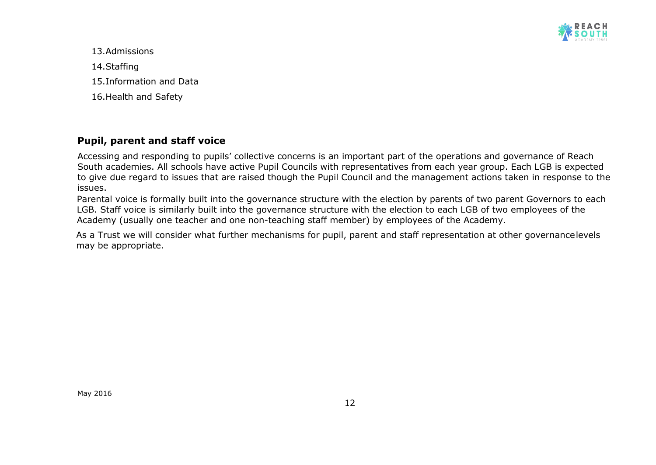

13.Admissions 14.Staffing 15.Information and Data 16.Health and Safety

## **Pupil, parent and staff voice**

Accessing and responding to pupils' collective concerns is an important part of the operations and governance of Reach South academies. All schools have active Pupil Councils with representatives from each year group. Each LGB is expected to give due regard to issues that are raised though the Pupil Council and the management actions taken in response to the issues.

Parental voice is formally built into the governance structure with the election by parents of two parent Governors to each LGB. Staff voice is similarly built into the governance structure with the election to each LGB of two employees of the Academy (usually one teacher and one non-teaching staff member) by employees of the Academy.

As a Trust we will consider what further mechanisms for pupil, parent and staff representation at other governancelevels may be appropriate.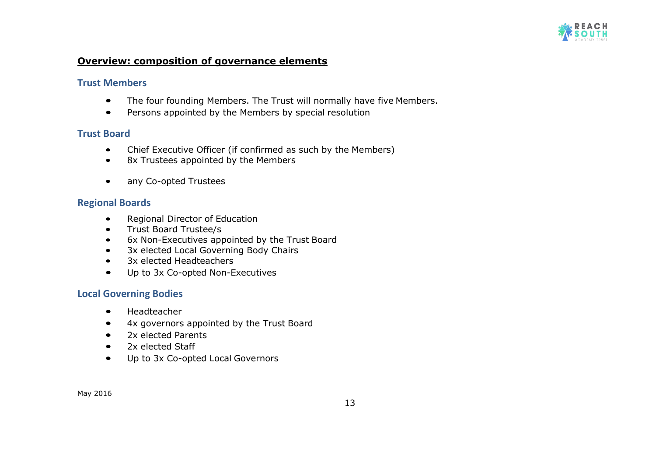

#### **Overview: composition of governance elements**

#### **Trust Members**

- The four founding Members. The Trust will normally have five Members.
- Persons appointed by the Members by special resolution

### **Trust Board**

- Chief Executive Officer (if confirmed as such by the Members)
- 8x Trustees appointed by the Members
- any Co-opted Trustees

## **Regional Boards**

- Regional Director of Education
- Trust Board Trustee/s
- 6x Non-Executives appointed by the Trust Board
- 3x elected Local Governing Body Chairs
- 3x elected Headteachers
- Up to 3x Co-opted Non-Executives

#### **Local Governing Bodies**

- Headteacher
- 4x governors appointed by the Trust Board
- 2x elected Parents
- 2x elected Staff
- Up to 3x Co-opted Local Governors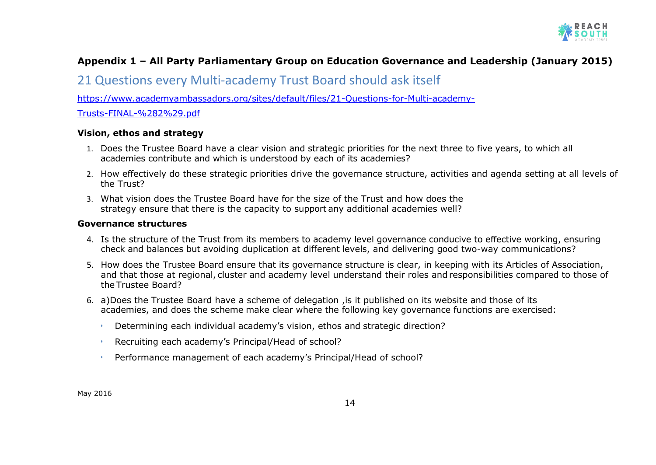

# **Appendix 1 – All Party Parliamentary Group on Education Governance and Leadership (January 2015)**

# 21 Questions every Multi-academy Trust Board should ask itself

[https://www.academyambassadors.org/sites/default/files/21-Questions-for-Multi-academy-](https://www.academyambassadors.org/sites/default/files/21-Questions-for-Multi-academy-Trusts-FINAL-%282%29.pdf)

[Trusts-FINAL-%282%29.pdf](https://www.academyambassadors.org/sites/default/files/21-Questions-for-Multi-academy-Trusts-FINAL-%282%29.pdf)

#### **Vision, ethos and strategy**

- 1. Does the Trustee Board have a clear vision and strategic priorities for the next three to five years, to which all academies contribute and which is understood by each of its academies?
- 2. How effectively do these strategic priorities drive the governance structure, activities and agenda setting at all levels of the Trust?
- 3. What vision does the Trustee Board have for the size of the Trust and how does the strategy ensure that there is the capacity to support any additional academies well?

#### **Governance structures**

- 4. Is the structure of the Trust from its members to academy level governance conducive to effective working, ensuring check and balances but avoiding duplication at different levels, and delivering good two-way communications?
- 5. How does the Trustee Board ensure that its governance structure is clear, in keeping with its Articles of Association, and that those at regional, cluster and academy level understand their roles and responsibilities compared to those of the Trustee Board?
- 6. a)Does the Trustee Board have a scheme of delegation ,is it published on its website and those of its academies, and does the scheme make clear where the following key governance functions are exercised:
	- Determining each individual academy's vision, ethos and strategic direction?
	- Recruiting each academy's Principal/Head of school?
	- Performance management of each academy's Principal/Head of school?

May 2016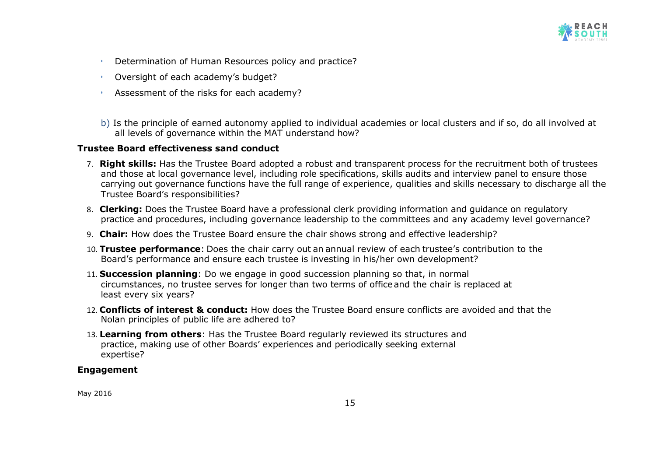

- Determination of Human Resources policy and practice?
- Oversight of each academy's budget?
- Assessment of the risks for each academy?
- b) Is the principle of earned autonomy applied to individual academies or local clusters and if so, do all involved at all levels of governance within the MAT understand how?

#### **Trustee Board effectiveness sand conduct**

- 7. **Right skills:** Has the Trustee Board adopted a robust and transparent process for the recruitment both of trustees and those at local governance level, including role specifications, skills audits and interview panel to ensure those carrying out governance functions have the full range of experience, qualities and skills necessary to discharge all the Trustee Board's responsibilities?
- 8. **Clerking:** Does the Trustee Board have a professional clerk providing information and guidance on regulatory practice and procedures, including governance leadership to the committees and any academy level governance?
- 9. **Chair:** How does the Trustee Board ensure the chair shows strong and effective leadership?
- 10. **Trustee performance**: Does the chair carry out an annual review of each trustee's contribution to the Board's performance and ensure each trustee is investing in his/her own development?
- 11. **Succession planning**: Do we engage in good succession planning so that, in normal circumstances, no trustee serves for longer than two terms of officeand the chair is replaced at least every six years?
- 12. **Conflicts of interest & conduct:** How does the Trustee Board ensure conflicts are avoided and that the Nolan principles of public life are adhered to?
- 13. **Learning from others**: Has the Trustee Board regularly reviewed its structures and practice, making use of other Boards' experiences and periodically seeking external expertise?

#### **Engagement**

May 2016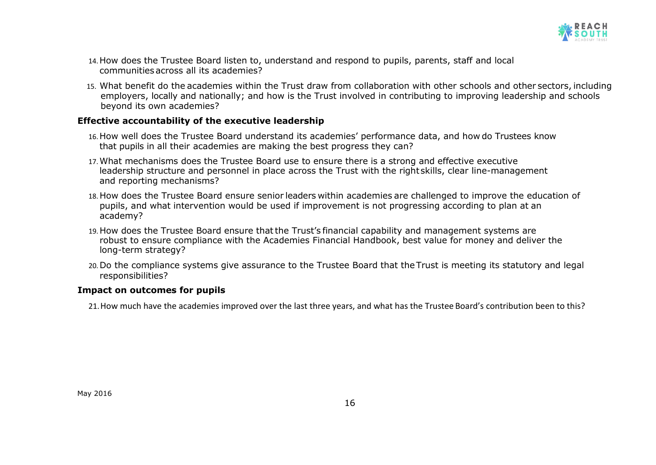

- 14.How does the Trustee Board listen to, understand and respond to pupils, parents, staff and local communitiesacross all its academies?
- 15. What benefit do the academies within the Trust draw from collaboration with other schools and other sectors, including employers, locally and nationally; and how is the Trust involved in contributing to improving leadership and schools beyond its own academies?

#### **Effective accountability of the executive leadership**

- 16.How well does the Trustee Board understand its academies' performance data, and how do Trustees know that pupils in all their academies are making the best progress they can?
- 17.What mechanisms does the Trustee Board use to ensure there is a strong and effective executive leadership structure and personnel in place across the Trust with the right skills, clear line-management and reporting mechanisms?
- 18. How does the Trustee Board ensure senior leaders within academies are challenged to improve the education of pupils, and what intervention would be used if improvement is not progressing according to plan at an academy?
- 19.How does the Trustee Board ensure thatthe Trust's financial capability and management systems are robust to ensure compliance with the Academies Financial Handbook, best value for money and deliver the long-term strategy?
- 20.Do the compliance systems give assurance to the Trustee Board that the Trust is meeting its statutory and legal responsibilities?

#### **Impact on outcomes for pupils**

21.How much have the academies improved over the last three years, and what has the Trustee Board's contribution been to this?